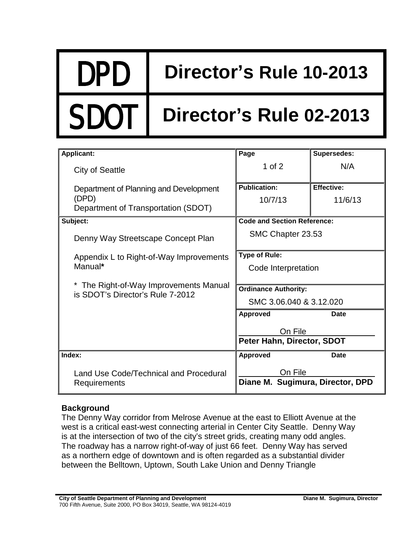## DPD **Director's Rule 10-2013**

# Director's Rule 02-2013

| <b>Applicant:</b>                                                        | Page                                  | Supersedes:       |
|--------------------------------------------------------------------------|---------------------------------------|-------------------|
| <b>City of Seattle</b>                                                   | 1 of $2$                              | N/A               |
| Department of Planning and Development                                   | <b>Publication:</b>                   | <b>Effective:</b> |
| (DPD)                                                                    | 10/7/13                               | 11/6/13           |
| Department of Transportation (SDOT)                                      |                                       |                   |
| Subject:                                                                 | <b>Code and Section Reference:</b>    |                   |
| Denny Way Streetscape Concept Plan                                       | SMC Chapter 23.53                     |                   |
| Appendix L to Right-of-Way Improvements<br>Manual*                       | <b>Type of Rule:</b>                  |                   |
|                                                                          | Code Interpretation                   |                   |
|                                                                          |                                       |                   |
| The Right-of-Way Improvements Manual<br>is SDOT's Director's Rule 7-2012 | <b>Ordinance Authority:</b>           |                   |
|                                                                          | SMC 3.06.040 & 3.12.020               |                   |
|                                                                          | <b>Approved</b>                       | Date              |
|                                                                          | On File<br>Peter Hahn, Director, SDOT |                   |
|                                                                          |                                       |                   |
| Index:                                                                   | <b>Approved</b>                       | Date              |
| Land Use Code/Technical and Procedural<br>Requirements                   | On File                               |                   |
|                                                                          | Diane M. Sugimura, Director, DPD      |                   |

### **Background**

The Denny Way corridor from Melrose Avenue at the east to Elliott Avenue at the west is a critical east-west connecting arterial in Center City Seattle. Denny Way is at the intersection of two of the city's street grids, creating many odd angles. The roadway has a narrow right-of-way of just 66 feet. Denny Way has served as a northern edge of downtown and is often regarded as a substantial divider between the Belltown, Uptown, South Lake Union and Denny Triangle